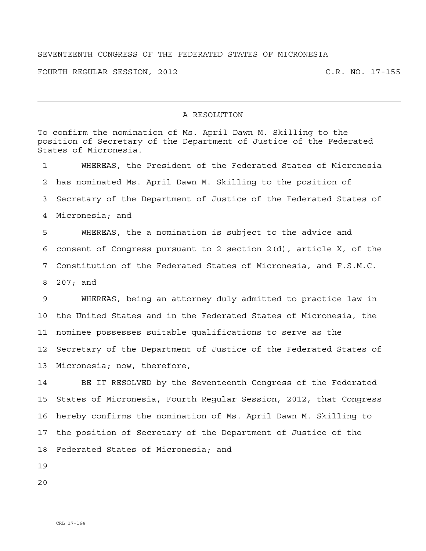## SEVENTEENTH CONGRESS OF THE FEDERATED STATES OF MICRONESIA

FOURTH REGULAR SESSION, 2012 C.R. NO. 17-155

## A RESOLUTION

To confirm the nomination of Ms. April Dawn M. Skilling to the position of Secretary of the Department of Justice of the Federated States of Micronesia. 1 WHEREAS, the President of the Federated States of Micronesia 2 has nominated Ms. April Dawn M. Skilling to the position of 3 Secretary of the Department of Justice of the Federated States of 4 Micronesia; and 5 WHEREAS, the a nomination is subject to the advice and 6 consent of Congress pursuant to 2 section 2(d), article X, of the 7 Constitution of the Federated States of Micronesia, and F.S.M.C. 8 207; and 9 WHEREAS, being an attorney duly admitted to practice law in 10 the United States and in the Federated States of Micronesia, the 11 nominee possesses suitable qualifications to serve as the 12 Secretary of the Department of Justice of the Federated States of 13 Micronesia; now, therefore, 14 BE IT RESOLVED by the Seventeenth Congress of the Federated 15 States of Micronesia, Fourth Regular Session, 2012, that Congress 16 hereby confirms the nomination of Ms. April Dawn M. Skilling to 17 the position of Secretary of the Department of Justice of the 18 Federated States of Micronesia; and

19

20